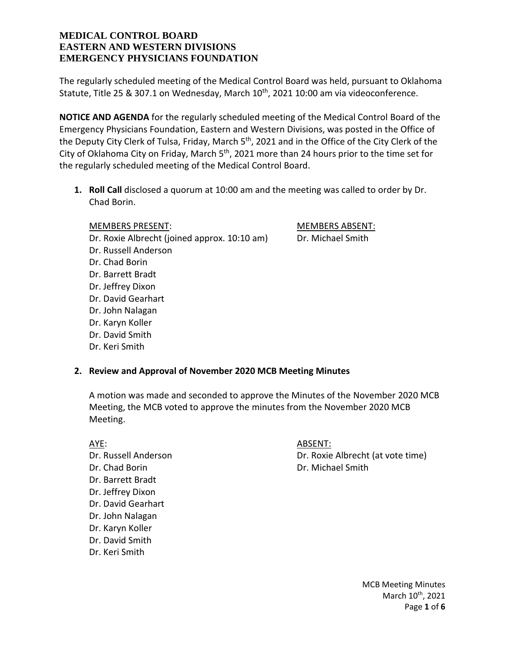The regularly scheduled meeting of the Medical Control Board was held, pursuant to Oklahoma Statute, Title 25 & 307.1 on Wednesday, March  $10^{\text{th}}$ , 2021 10:00 am via videoconference.

**NOTICE AND AGENDA** for the regularly scheduled meeting of the Medical Control Board of the Emergency Physicians Foundation, Eastern and Western Divisions, was posted in the Office of the Deputy City Clerk of Tulsa, Friday, March 5<sup>th</sup>, 2021 and in the Office of the City Clerk of the City of Oklahoma City on Friday, March  $5<sup>th</sup>$ , 2021 more than 24 hours prior to the time set for the regularly scheduled meeting of the Medical Control Board.

**1. Roll Call** disclosed a quorum at 10:00 am and the meeting was called to order by Dr. Chad Borin.

MEMBERS PRESENT: MEMBERS ABSENT:

Dr. Roxie Albrecht (joined approx. 10:10 am) Dr. Michael Smith Dr. Russell Anderson Dr. Chad Borin Dr. Barrett Bradt Dr. Jeffrey Dixon Dr. David Gearhart Dr. John Nalagan Dr. Karyn Koller

- Dr. David Smith
- Dr. Keri Smith

# **2. Review and Approval of November 2020 MCB Meeting Minutes**

A motion was made and seconded to approve the Minutes of the November 2020 MCB Meeting, the MCB voted to approve the minutes from the November 2020 MCB Meeting.

Dr. Chad Borin **Dr. Michael Smith** Dr. Barrett Bradt Dr. Jeffrey Dixon Dr. David Gearhart Dr. John Nalagan Dr. Karyn Koller Dr. David Smith Dr. Keri Smith

#### AYE: ARSENT:

Dr. Russell Anderson Dr. Roxie Albrecht (at vote time)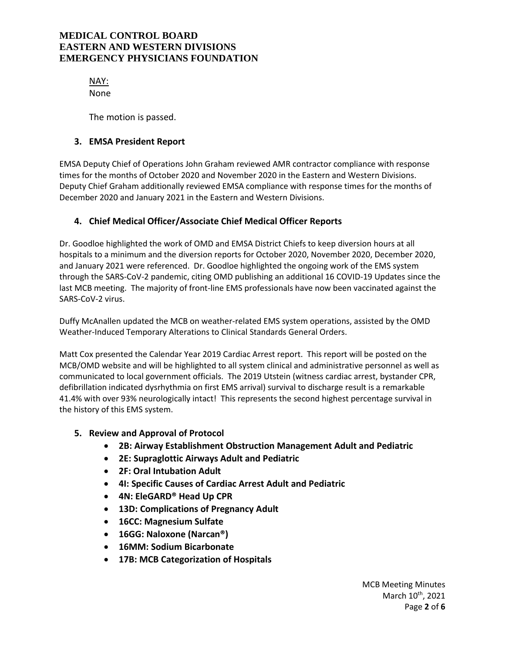NAY: None

The motion is passed.

### **3. EMSA President Report**

EMSA Deputy Chief of Operations John Graham reviewed AMR contractor compliance with response times for the months of October 2020 and November 2020 in the Eastern and Western Divisions. Deputy Chief Graham additionally reviewed EMSA compliance with response times for the months of December 2020 and January 2021 in the Eastern and Western Divisions.

## **4. Chief Medical Officer/Associate Chief Medical Officer Reports**

Dr. Goodloe highlighted the work of OMD and EMSA District Chiefs to keep diversion hours at all hospitals to a minimum and the diversion reports for October 2020, November 2020, December 2020, and January 2021 were referenced. Dr. Goodloe highlighted the ongoing work of the EMS system through the SARS-CoV-2 pandemic, citing OMD publishing an additional 16 COVID-19 Updates since the last MCB meeting. The majority of front-line EMS professionals have now been vaccinated against the SARS-CoV-2 virus.

Duffy McAnallen updated the MCB on weather-related EMS system operations, assisted by the OMD Weather-Induced Temporary Alterations to Clinical Standards General Orders.

Matt Cox presented the Calendar Year 2019 Cardiac Arrest report. This report will be posted on the MCB/OMD website and will be highlighted to all system clinical and administrative personnel as well as communicated to local government officials. The 2019 Utstein (witness cardiac arrest, bystander CPR, defibrillation indicated dysrhythmia on first EMS arrival) survival to discharge result is a remarkable 41.4% with over 93% neurologically intact! This represents the second highest percentage survival in the history of this EMS system.

### **5. Review and Approval of Protocol**

- **2B: Airway Establishment Obstruction Management Adult and Pediatric**
- **2E: Supraglottic Airways Adult and Pediatric**
- **2F: Oral Intubation Adult**
- **4I: Specific Causes of Cardiac Arrest Adult and Pediatric**
- **4N: EleGARD® Head Up CPR**
- **13D: Complications of Pregnancy Adult**
- **16CC: Magnesium Sulfate**
- **16GG: Naloxone (Narcan®)**
- **16MM: Sodium Bicarbonate**
- **17B: MCB Categorization of Hospitals**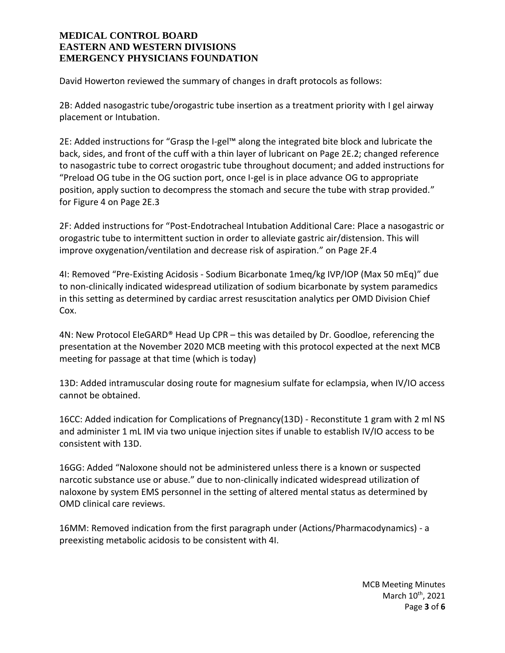David Howerton reviewed the summary of changes in draft protocols as follows:

2B: Added nasogastric tube/orogastric tube insertion as a treatment priority with I gel airway placement or Intubation.

2E: Added instructions for "Grasp the I-gel™ along the integrated bite block and lubricate the back, sides, and front of the cuff with a thin layer of lubricant on Page 2E.2; changed reference to nasogastric tube to correct orogastric tube throughout document; and added instructions for "Preload OG tube in the OG suction port, once I-gel is in place advance OG to appropriate position, apply suction to decompress the stomach and secure the tube with strap provided." for Figure 4 on Page 2E.3

2F: Added instructions for "Post-Endotracheal Intubation Additional Care: Place a nasogastric or orogastric tube to intermittent suction in order to alleviate gastric air/distension. This will improve oxygenation/ventilation and decrease risk of aspiration." on Page 2F.4

4I: Removed "Pre-Existing Acidosis - Sodium Bicarbonate 1meq/kg IVP/IOP (Max 50 mEq)" due to non-clinically indicated widespread utilization of sodium bicarbonate by system paramedics in this setting as determined by cardiac arrest resuscitation analytics per OMD Division Chief Cox.

4N: New Protocol EleGARD® Head Up CPR – this was detailed by Dr. Goodloe, referencing the presentation at the November 2020 MCB meeting with this protocol expected at the next MCB meeting for passage at that time (which is today)

13D: Added intramuscular dosing route for magnesium sulfate for eclampsia, when IV/IO access cannot be obtained.

16CC: Added indication for Complications of Pregnancy(13D) - Reconstitute 1 gram with 2 ml NS and administer 1 mL IM via two unique injection sites if unable to establish IV/IO access to be consistent with 13D.

16GG: Added "Naloxone should not be administered unless there is a known or suspected narcotic substance use or abuse." due to non-clinically indicated widespread utilization of naloxone by system EMS personnel in the setting of altered mental status as determined by OMD clinical care reviews.

16MM: Removed indication from the first paragraph under (Actions/Pharmacodynamics) - a preexisting metabolic acidosis to be consistent with 4I.

> MCB Meeting Minutes March 10<sup>th</sup>, 2021 Page **3** of **6**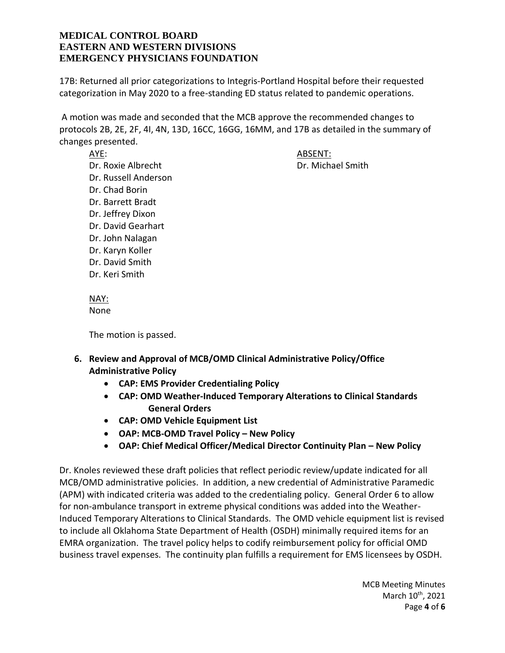17B: Returned all prior categorizations to Integris-Portland Hospital before their requested categorization in May 2020 to a free-standing ED status related to pandemic operations.

A motion was made and seconded that the MCB approve the recommended changes to protocols 2B, 2E, 2F, 4I, 4N, 13D, 16CC, 16GG, 16MM, and 17B as detailed in the summary of changes presented.

AYE: ARSENT:

Dr. Roxie Albrecht Dr. Michael Smith Dr. Russell Anderson Dr. Chad Borin Dr. Barrett Bradt Dr. Jeffrey Dixon Dr. David Gearhart Dr. John Nalagan Dr. Karyn Koller Dr. David Smith Dr. Keri Smith

NAY: None

The motion is passed.

- **6. Review and Approval of MCB/OMD Clinical Administrative Policy/Office Administrative Policy**
	- **CAP: EMS Provider Credentialing Policy**
	- **CAP: OMD Weather-Induced Temporary Alterations to Clinical Standards General Orders**
	- **CAP: OMD Vehicle Equipment List**
	- **OAP: MCB-OMD Travel Policy – New Policy**
	- **OAP: Chief Medical Officer/Medical Director Continuity Plan – New Policy**

Dr. Knoles reviewed these draft policies that reflect periodic review/update indicated for all MCB/OMD administrative policies. In addition, a new credential of Administrative Paramedic (APM) with indicated criteria was added to the credentialing policy. General Order 6 to allow for non-ambulance transport in extreme physical conditions was added into the Weather-Induced Temporary Alterations to Clinical Standards. The OMD vehicle equipment list is revised to include all Oklahoma State Department of Health (OSDH) minimally required items for an EMRA organization. The travel policy helps to codify reimbursement policy for official OMD business travel expenses. The continuity plan fulfills a requirement for EMS licensees by OSDH.

> MCB Meeting Minutes March 10<sup>th</sup>, 2021 Page **4** of **6**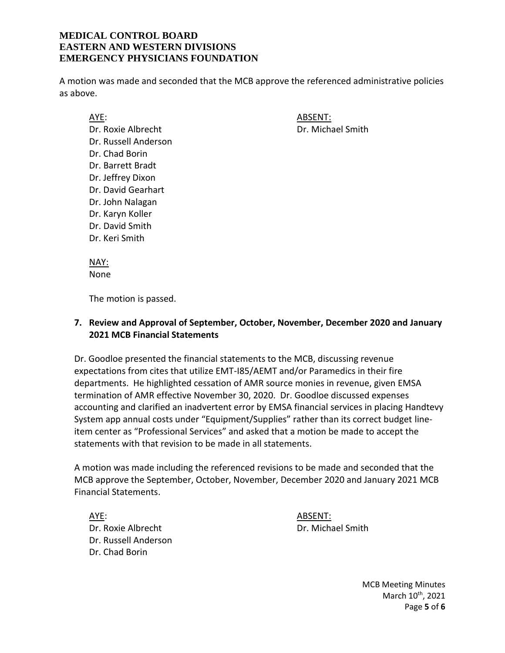A motion was made and seconded that the MCB approve the referenced administrative policies as above.

AYE: ABSENT: Dr. Roxie Albrecht Dr. Michael Smith Dr. Russell Anderson Dr. Chad Borin Dr. Barrett Bradt Dr. Jeffrey Dixon Dr. David Gearhart Dr. John Nalagan Dr. Karyn Koller Dr. David Smith Dr. Keri Smith

NAY: None

The motion is passed.

### **7. Review and Approval of September, October, November, December 2020 and January 2021 MCB Financial Statements**

Dr. Goodloe presented the financial statements to the MCB, discussing revenue expectations from cites that utilize EMT-I85/AEMT and/or Paramedics in their fire departments. He highlighted cessation of AMR source monies in revenue, given EMSA termination of AMR effective November 30, 2020. Dr. Goodloe discussed expenses accounting and clarified an inadvertent error by EMSA financial services in placing Handtevy System app annual costs under "Equipment/Supplies" rather than its correct budget lineitem center as "Professional Services" and asked that a motion be made to accept the statements with that revision to be made in all statements.

A motion was made including the referenced revisions to be made and seconded that the MCB approve the September, October, November, December 2020 and January 2021 MCB Financial Statements.

AYE: ABSENT: Dr. Roxie Albrecht Dr. Michael Smith Dr. Russell Anderson Dr. Chad Borin

MCB Meeting Minutes March 10<sup>th</sup>, 2021 Page **5** of **6**